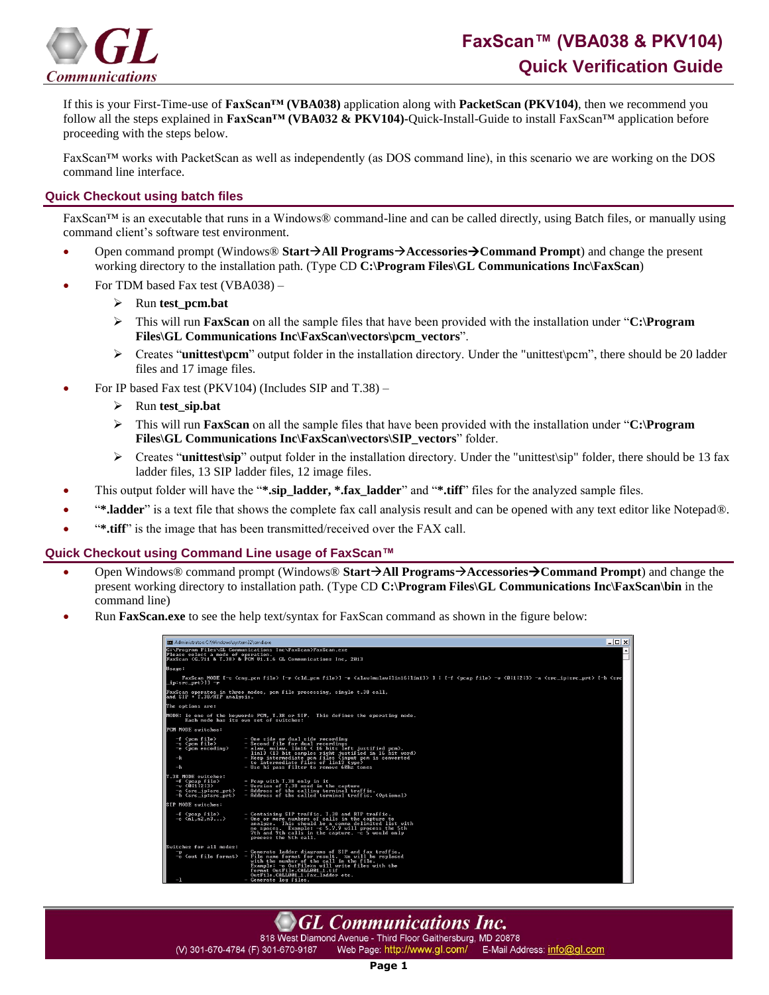

If this is your First-Time-use of **FaxScan™ (VBA038)** application along with **PacketScan (PKV104)**, then we recommend you follow all the steps explained in **FaxScan™ (VBA032 & PKV104)-**Quick-Install-Guide to install FaxScan™ application before proceeding with the steps below.

FaxScan™ works with PacketScan as well as independently (as DOS command line), in this scenario we are working on the DOS command line interface.

## **Quick Checkout using batch files**

FaxScan™ is an executable that runs in a Windows® command-line and can be called directly, using Batch files, or manually using command client's software test environment.

- Open command prompt (Windows® **StartAll ProgramsAccessoriesCommand Prompt**) and change the present working directory to the installation path. (Type CD **C:\Program Files\GL Communications Inc\FaxScan**)
- For TDM based Fax test (VBA038)
	- ➢ Run **test\_pcm.bat**
	- ➢ This will run **FaxScan** on all the sample files that have been provided with the installation under "**C:\Program Files\GL Communications Inc\FaxScan\vectors\pcm\_vectors**".
	- ➢ Creates "**unittest\pcm**" output folder in the installation directory. Under the "unittest\pcm", there should be 20 ladder files and 17 image files.
- For IP based Fax test (PKV104) (Includes SIP and T.38)
	- ➢ Run **test\_sip.bat**
	- ➢ This will run **FaxScan** on all the sample files that have been provided with the installation under "**C:\Program Files\GL Communications Inc\FaxScan\vectors\SIP\_vectors**" folder.
	- ➢ Creates "**unittest\sip**" output folder in the installation directory. Under the "unittest\sip" folder, there should be 13 fax ladder files, 13 SIP ladder files, 12 image files.
- This output folder will have the "**\*.sip\_ladder, \*.fax\_ladder**" and "**\*.tiff**" files for the analyzed sample files.
- "**\*.ladder**" is a text file that shows the complete fax call analysis result and can be opened with any text editor like Notepad®.
- "**\*.tiff**" is the image that has been transmitted/received over the FAX call.

## **Quick Checkout using Command Line usage of FaxScan™**

- Open Windows® command prompt (Windows® **StartAll ProgramsAccessoriesCommand Prompt**) and change the present working directory to installation path. (Type CD **C:\Program Files\GL Communications Inc\FaxScan\bin** in the command line)
- Run **FaxScan.exe** to see the help text/syntax for FaxScan command as shown in the figure below:

| <b>BB</b> Administrator: C:\Windows\system32\cmd.exe                                                                                                                                                                                                                  |                                                                                                                                                                                                                                                                                                                                                                      | $ \Box$ $\times$ |
|-----------------------------------------------------------------------------------------------------------------------------------------------------------------------------------------------------------------------------------------------------------------------|----------------------------------------------------------------------------------------------------------------------------------------------------------------------------------------------------------------------------------------------------------------------------------------------------------------------------------------------------------------------|------------------|
| Please select a mode of operation.                                                                                                                                                                                                                                    | C:\Program Files\GL Communications Inc\FaxScan>FaxScan.exe<br>FaxScan (G.711 & T.38) & PCM U1.1.6 GL Communications Inc. 2013                                                                                                                                                                                                                                        | Ŀ                |
| Usage:                                                                                                                                                                                                                                                                |                                                                                                                                                                                                                                                                                                                                                                      |                  |
| FaxScan MODE I-s <cng_pcm file=""> I-r <cld_pcm file="">1 -e <alaw nulaw lin16 lin13> 1   I-f <pcap file=""> -v &lt;0 1 2 3&gt; -a <src_ip:src_prt> I-b <src<br>∟ip:src_prt&gt;ll −r</src<br></src_ip:src_prt></pcap></alaw nulaw lin16 lin13></cld_pcm></cng_pcm>    |                                                                                                                                                                                                                                                                                                                                                                      |                  |
| FaxScan operates in three modes, pcm file processing, single t.38 call,<br>and SIP + $T.38/RTP$ analysis.                                                                                                                                                             |                                                                                                                                                                                                                                                                                                                                                                      |                  |
| The options are:                                                                                                                                                                                                                                                      |                                                                                                                                                                                                                                                                                                                                                                      |                  |
| MODE: is one of the keywords PCM, T.38 or SIP. This defines the operating mode.<br>Each mode has its own set of switches:                                                                                                                                             |                                                                                                                                                                                                                                                                                                                                                                      |                  |
| PCM MODE switches:                                                                                                                                                                                                                                                    |                                                                                                                                                                                                                                                                                                                                                                      |                  |
| $-f$ $\langle$ pcn $file$<br>$-s$ $\langle$ pcn file><br>$-e$ <pcn encoding=""><br/><math>-k</math><br/><math>-h</math></pcn>                                                                                                                                         | $-$ One side or dual side recording<br>- Second file for dual recordings<br>- alaw, mulaw, lin16 < 16 bits left justified pcm),<br>lin13 (13 bit samples right justified in 16 bit word)<br>- Keep intermediate pcn files (input pcm is converted<br>to intermediate files of lin13 type)<br>- Use hi pass filter to remove 60hz tones                               |                  |
| T.38 MODE switches:<br>$-f$ <pcap <math="">file<br/><math>-v</math> <math>\langle 0111213 \rangle</math><br/><math>-a</math> <math>\langle</math>src ip:src prt<math>\rangle</math><br/><math>-b</math> <math>\langle</math>src ip:src prt<math>\rangle</math></pcap> | - Pcap with T.38 only in it<br>- Version of T.38 used in the capture<br>- Address of the calling terminal traffic.<br>- Address of the called terminal traffic. (Optional)                                                                                                                                                                                           |                  |
| SIP MODE switches:                                                                                                                                                                                                                                                    |                                                                                                                                                                                                                                                                                                                                                                      |                  |
| $-f$ $\langle$ pcap file $\rangle$<br>$-c \langle n1, n2, n3, \ldots \rangle$                                                                                                                                                                                         | - Containing SIP traffic, T.38 and RTP traffic.<br>- One or more numbers of calls in the capture to<br>analyze. This should be a comma delimited list with<br>no spaces. Example: -c 5.7.9 will process the 5th<br>7th and 9th calls in the capture. -c 5 would only<br>process the 5th call.                                                                        |                  |
| Switches for all modes:<br>$-1$                                                                                                                                                                                                                                       | - Generate ladder diagrams of SIP and fax traffic.<br>$-\alpha$ <out file="" format=""> - File name format for result. <math>\alpha</math>n will be replaced<br/>with the number of the call in the file.<br/>Example: -o OutFilezn will write files with the<br/>format OutFile.CALL001 1.tif<br/>OutFile.CALL001 1.fax ladder etc.<br/>- Generate log files.</out> |                  |